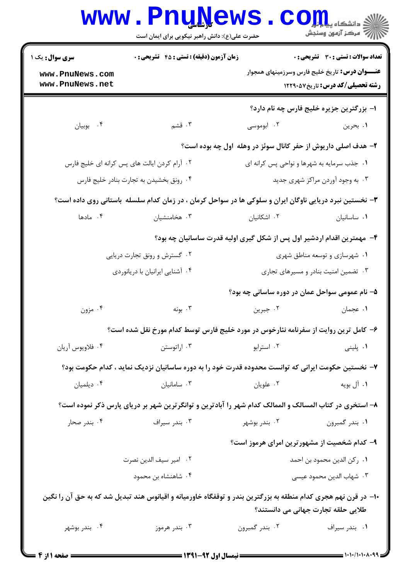|                                                      | www.PnuNews<br>حضرت علی(ع): دانش راهبر نیکویی برای ایمان است                                                   |                | دانشڪاء پيد <mark>م لور</mark><br>(⊂ مرڪز آزمون وسنڊش                                                                                      |
|------------------------------------------------------|----------------------------------------------------------------------------------------------------------------|----------------|--------------------------------------------------------------------------------------------------------------------------------------------|
| سری سوال: یک ۱<br>www.PnuNews.com<br>www.PnuNews.net | <b>زمان آزمون (دقیقه) : تستی : 45 تشریحی : 0</b>                                                               |                | تعداد سوالات : تستي : 30 ٪ تشريحي : 0<br><b>عنـــوان درس:</b> تاریخ خلیج فارس وسرزمینهای همجوار<br><b>رشته تحصیلی/کد درس:</b> تاریخ1۲۲۹۰۵۷ |
| ۰۴ بوبيان                                            | ۰۳ قشم                                                                                                         | ۰۲ ابوموسی     | ا– بزرگترین جزیره خلیج فارس چه نام دارد؟<br>۱. بحرين                                                                                       |
|                                                      |                                                                                                                |                | ۲- هدف اصلی داریوش از حفر کانال سوئز در وهله اول چه بوده است؟                                                                              |
|                                                      | ۰۲ آرام کردن ایالت های پس کرانه ای خلیج فارس                                                                   |                | ۰۱ جذب سرمایه به شهرها و نواحی پس کرانه ای                                                                                                 |
| ۰۴ رونق بخشیدن به تجارت بنادر خلیج فارس              |                                                                                                                |                | ۰۳ به وجود آوردن مراکز شهری جدید                                                                                                           |
|                                                      | ۳- نخستین نبرد دریایی ناوگان ایران و سلوکی ها در سواحل کرمان ، در زمان کدام سلسله باستانی روی داده است؟        |                |                                                                                                                                            |
| ۰۴ مادها                                             | ۰۳ هخامنشیان                                                                                                   | ۰۲ اشکانیان    | ٠١ ساسانيان                                                                                                                                |
|                                                      | ۴– مهمترین اقدام اردشیر اول پس از شکل گیری اولیه قدرت ساسانیان چه بود؟                                         |                |                                                                                                                                            |
|                                                      | ۰۲ گسترش و رونق تجارت دریایی                                                                                   |                | ۰۱ شهرسازی و توسعه مناطق شهری                                                                                                              |
|                                                      | ۰۴ آشنایی ایرانیان با دریانوردی                                                                                |                | ۰۳ تضمین امنیت بنادر و مسیرهای تجاری                                                                                                       |
|                                                      |                                                                                                                |                | ۵– نام عمومی سواحل عمان در دوره ساسانی چه بود؟                                                                                             |
| ۰۴ مزون                                              | ۰۳ بونه                                                                                                        | ۰۲ جبرین       | ٠١ عجمان                                                                                                                                   |
|                                                      | ۶– کامل ترین روایت از سفرنامه نئارخوس در مورد خلیج فارس توسط کدام مورخ نقل شده است؟                            |                |                                                                                                                                            |
| ۰۴ فلاويوس آريان                                     | ۰۳ اراتوستن                                                                                                    | ۰۲ استرابو     | ۰۱ پلینی                                                                                                                                   |
|                                                      | ۷– نخستین حکومت ایرانی که توانست محدوده قدرت خود را به دوره ساسانیان نزدیک نماید ، کدام حکومت بود؟             |                |                                                                                                                                            |
| ۰۴ دیلمیان                                           | ۰۳ سامانیان                                                                                                    | ۰۲ علویان      | ۰۱ آل بويه                                                                                                                                 |
|                                                      | ۸– استخری در کتاب المسالک و الممالک کدام شهر را آبادترین و توانگرترین شهر بر دریای پارس ذکر نموده است؟         |                |                                                                                                                                            |
| ۰۴ بندر صحار                                         | ۰۳ بندر سیراف                                                                                                  | ۰۲ بندر بوشهر  | ۰۱ بندر گمبرون                                                                                                                             |
|                                                      |                                                                                                                |                | ۹- کدام شخصیت از مشهور ترین امرای هرموز است؟                                                                                               |
| ٠٢ امير سيف الدين نصرت                               |                                                                                                                |                | ٠١. ركن الدين محمود بن احمد                                                                                                                |
|                                                      | ۰۴ شاهنشاه بن محمود                                                                                            |                | ۰۳ شهاب الدين محمود عيسى                                                                                                                   |
|                                                      | ۱۰− در قرن نهم هجری کدام منطقه به بزرگترین بندر و توقفگاه خاورمیانه و اقیانوس هند تبدیل شد که به حق آن را نگین |                | طلایی حلقه تجارت جهانی می دانستند؟                                                                                                         |
| ۰۴ بندر بوشهر                                        | ۰۳ بندر هرموز                                                                                                  | ۰۲ بندر گمبرون | ۰۱ بندر سیراف                                                                                                                              |
|                                                      |                                                                                                                |                |                                                                                                                                            |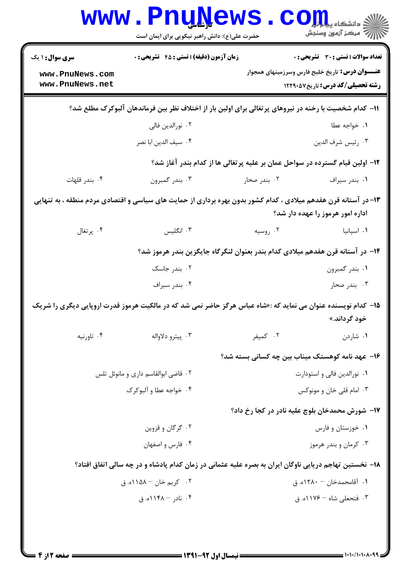| <b>سری سوال : ۱ یک</b>             | <b>زمان آزمون (دقیقه) : تستی : 45 تشریحی : 0</b>                                                               |                                                 | <b>تعداد سوالات : تستی : 30 ٪ تشریحی : 0</b>                                                      |
|------------------------------------|----------------------------------------------------------------------------------------------------------------|-------------------------------------------------|---------------------------------------------------------------------------------------------------|
| www.PnuNews.com<br>www.PnuNews.net |                                                                                                                |                                                 | <b>عنـــوان درس:</b> تاریخ خلیج فارس وسرزمینهای همجوار<br><b>رشته تحصیلی/کد درس:</b> تاریخ1۲۲۹۰۵۷ |
|                                    | 1۱– کدام شخصیت با رخنه در نیروهای پرتغالی برای اولین بار از اختلاف نظر بین فرماندهان آلبوکرک مطلع شد؟          |                                                 |                                                                                                   |
|                                    | ۰۲ نورالدين فالي                                                                                               |                                                 | ٠١ خواجه عطا                                                                                      |
|                                    | ۰۴ سيف الدين ابا نصر                                                                                           |                                                 | ٠٣ رئيس شرف الدين                                                                                 |
|                                    | ۱۲– اولین قیام گسترده در سواحل عمان بر علیه پرتغالی ها از کدام بندر آغاز شد؟                                   |                                                 |                                                                                                   |
| ۰۴ بندر قلهات                      | ۰۳ بندر گمبرون                                                                                                 | ۰۲ بندر صحار                                    | ۰۱ بندر سیراف                                                                                     |
|                                    | ۱۳–در آستانه قرن هفدهم میلادی ، کدام کشور بدون بهره برداری از حمایت های سیاسی و اقتصادی مردم منطقه ، به تنهایی |                                                 | اداره امور هرموز را عهده دار شد؟                                                                  |
| ۰۴ پرتغال                          | ۰۳ انگلیس                                                                                                      | ۰۲ روسیه                                        | ۰۱ اسپانیا                                                                                        |
|                                    | ۱۴– در آستانه قرن هفدهم میلادی کدام بندر بعنوان لنگرگاه جایگزین بندر هرموز شد؟                                 |                                                 |                                                                                                   |
|                                    | ۰۲ بندر جاسک                                                                                                   |                                                 | ۰۱ بندر گمبرون                                                                                    |
|                                    | ۰۴ بندر سيراف                                                                                                  |                                                 | ۰۳ بندر صحار                                                                                      |
|                                    | ۱۵– کدام نویسنده عنوان می نماید که :«شاه عباس هرگز حاضر نمی شد که در مالکیت هرموز قدرت اروپایی دیگری را شریک   |                                                 | خود گرداند.»                                                                                      |
| ۰۴ تاورنيه                         | ۰۳ پيترو دلاواله                                                                                               | ۰۲ کمپفر                                        | ۰۱ شاردن                                                                                          |
|                                    |                                                                                                                | ۱۶– عهد نامه کوهستک میناب بین چه کسانی بسته شد؟ |                                                                                                   |
|                                    | ۰۲ قاضی ابوالقاسم داری و مانوئل تلس                                                                            |                                                 | ۰۱ نورالدین فالی و استودارت                                                                       |
| ۰۴ خواجه عطا و آلبوکرک             |                                                                                                                |                                                 | ۰۳ امام قلی خان و مونوکس                                                                          |
|                                    |                                                                                                                | ۱۷– شورش محمدخان بلوچ علیه نادر در کجا رخ داد؟  |                                                                                                   |
| ۰۲ گرگان و قزوین                   |                                                                                                                | ۰۱ خوزستان و فارس                               |                                                                                                   |
|                                    | ۰۴ فارس و اصفهان                                                                                               |                                                 | ۰۳ کرمان و بندر هرموز                                                                             |
|                                    | ۱۸- نخستین تهاجم دریایی ناوگان ایران به بصره علیه عثمانی در زمان کدام پادشاه و در چه سالی اتفاق افتاد؟         |                                                 |                                                                                                   |
|                                    | ۰۲ کريم خان – ۱۱۵۸ه. ق                                                                                         |                                                 | ۰۱ آقامحمدخان – ۱۲۸۰ه. ق                                                                          |
|                                    | ۰۴ نادر - ۱۱۴۸ه. ق                                                                                             |                                                 | ۰۳ فتحعلی شاه – ۱۱۷۶ه. ق                                                                          |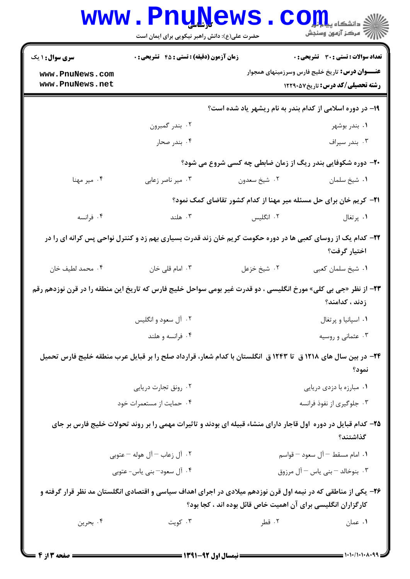| زمان آزمون (دقیقه) : تستی : 45 آتشریحی : 0<br><b>سری سوال : ۱ یک</b> |                                                                                                                        |                                                                           | <b>تعداد سوالات : تستی : 30 ٪ تشریحی : 0</b>                                                       |
|----------------------------------------------------------------------|------------------------------------------------------------------------------------------------------------------------|---------------------------------------------------------------------------|----------------------------------------------------------------------------------------------------|
| www.PnuNews.com<br>www.PnuNews.net                                   |                                                                                                                        |                                                                           | <b>عنـــوان درس:</b> تاریخ خلیج فارس وسرزمینهای همجوار<br><b>رشته تحصیلی/کد درس: تاریخ ۱۲۲۹۰۵۷</b> |
|                                                                      |                                                                                                                        | ۱۹- در دوره اسلامی از کدام بندر به نام ریشهر یاد شده است؟                 |                                                                                                    |
|                                                                      | ۰۲ بندر گمبرون                                                                                                         |                                                                           | ۰۱ بندر بوشهر                                                                                      |
|                                                                      | ۰۴ بندر صحار                                                                                                           |                                                                           | ۰۳ بندر سيراف                                                                                      |
|                                                                      |                                                                                                                        | ۲۰- دوره شکوفایی بندر ریگ از زمان ضابطی چه کسی شروع می شود؟               |                                                                                                    |
| ۰۴ میر مهنا                                                          | ۰۳ میر ناصر زعابی                                                                                                      | ۰۲ شيخ سعدون                                                              | ٠١ شيخ سلمان                                                                                       |
|                                                                      |                                                                                                                        | <b>۲۱</b> – کریم خان برای حل مسئله میر مهنا از کدام کشور تقاضای کمک نمود؟ |                                                                                                    |
| ۰۴ فرانسه                                                            | ۰۳ هلند                                                                                                                | ۰۲ انگلیس                                                                 | ۰۱ پرتغال                                                                                          |
|                                                                      | ۲۲- کدام یک از روسای کعبی ها در دوره حکومت کریم خان زند قدرت بسیاری بهم زد و کنترل نواحی پس کرانه ای را در             |                                                                           | اختيار گرفت؟                                                                                       |
| ۰۴ محمد لطيف خان                                                     | ۰۳ امام قلی خان                                                                                                        | ٢. شيخ خزعل                                                               | ۰۱ شیخ سلمان کعبی                                                                                  |
|                                                                      | <b>۲۳</b> - از نظر «جی بی کلی» مورخ انگلیسی ، دو قدرت غیر بومی سواحل خلیج فارس که تاریخ این منطقه را در قرن نوزدهم رقم |                                                                           | زدند ، كدامند؟                                                                                     |
|                                                                      | ۰۲ آل سعود و انگلیس                                                                                                    |                                                                           | ۰۱ اسپانیا و پرتغال                                                                                |
|                                                                      | ۰۴ فرانسه و هلند                                                                                                       |                                                                           | ۰۳ عثمانی و روسیه                                                                                  |
|                                                                      | ۲۴– در بین سال های ۱۲۱۸ ق تا ۱۲۴۳ ق انگلستان با کدام شعار، قرارداد صلح را بر قبایل عرب منطقه خلیج فارس تحمیل           |                                                                           | نمود؟                                                                                              |
|                                                                      | ۰۲ رونق تجارت دریایی                                                                                                   |                                                                           | ۰۱ مبارزه با دزدی دریایی                                                                           |
|                                                                      | ۰۴ حمایت از مستعمرات خود                                                                                               |                                                                           | ۰۳ جلوگیری از نفوذ فرانسه                                                                          |
|                                                                      | ۲۵– کدام قبایل در دوره اول قاجار دارای منشاء قبیله ای بودند و تاثیرات مهمی را بر روند تحولات خلیج فارس بر جای          |                                                                           | گذاشتند؟                                                                                           |
| ۲. آل زعاب — آل هوله — عتوبی                                         |                                                                                                                        |                                                                           | ٠١. امام مسقط – آل سعود – قواسم                                                                    |
| ۰۴ آل سعود— بنی یاس- عتوبی                                           |                                                                                                                        |                                                                           | ۰۳ بنوخالد – بنی یاس – آل مرزوق                                                                    |
|                                                                      | ۲۶- یکی از مناطقی که در نیمه اول قرن نوزدهم میلادی در اجرای اهداف سیاسی و اقتصادی انگلستان مد نظر قرار گرفته و         | کارگزاران انگلیسی برای آن اهمیت خاص قائل بوده اند ، کجا بود؟              |                                                                                                    |
| ۰۴ بحرين                                                             | ۰۳ کويت                                                                                                                | ۰۲ قطر                                                                    | ۰۱ عمان                                                                                            |